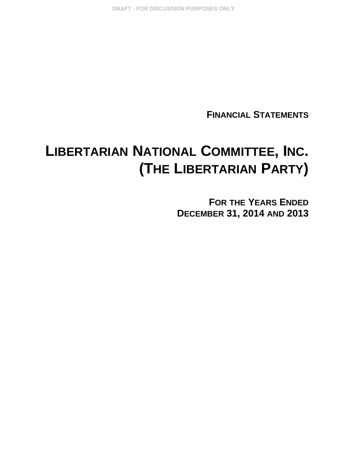DRAFT - FOR DISCUSSION PURPOSES ONLY

**FINANCIAL STATEMENTS**

# **LIBERTARIAN NATIONAL COMMITTEE, INC. (THE LIBERTARIAN PARTY)**

**FOR THE YEARS ENDED DECEMBER 31, 2014 AND 2013**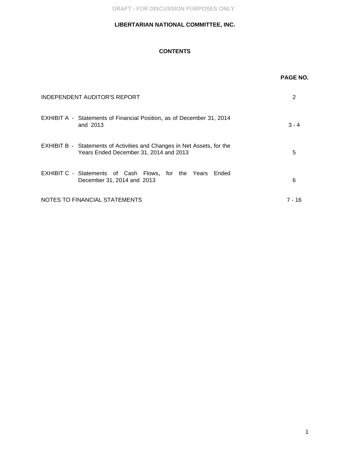DRAFT - FOR DISCUSSION PURPOSES ONLY

## **LIBERTARIAN NATIONAL COMMITTEE, INC.**

# **CONTENTS**

|                                                                                                                          | <b>PAGE NO.</b> |
|--------------------------------------------------------------------------------------------------------------------------|-----------------|
| <b>INDEPENDENT AUDITOR'S REPORT</b>                                                                                      | 2               |
| EXHIBIT A - Statements of Financial Position, as of December 31, 2014<br>and 2013                                        | $3 - 4$         |
| <b>EXHIBIT B - Statements of Activities and Changes in Net Assets, for the</b><br>Years Ended December 31, 2014 and 2013 | 5               |
| EXHIBIT C - Statements of Cash Flows, for the Years Ended<br>December 31, 2014 and 2013                                  | 6               |
| NOTES TO FINANCIAL STATEMENTS                                                                                            | 7 - 16          |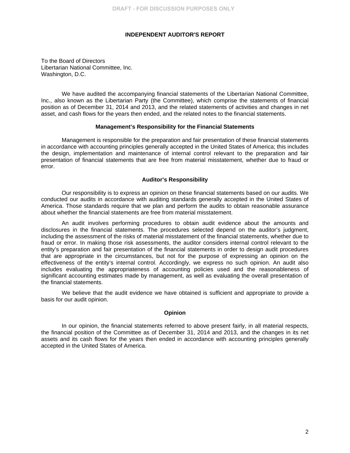#### **INDEPENDENT AUDITOR'S REPORT**

To the Board of Directors Libertarian National Committee, Inc. Washington, D.C.

We have audited the accompanying financial statements of the Libertarian National Committee, Inc., also known as the Libertarian Party (the Committee), which comprise the statements of financial position as of December 31, 2014 and 2013, and the related statements of activities and changes in net asset, and cash flows for the years then ended, and the related notes to the financial statements.

#### **Management's Responsibility for the Financial Statements**

Management is responsible for the preparation and fair presentation of these financial statements in accordance with accounting principles generally accepted in the United States of America; this includes the design, implementation and maintenance of internal control relevant to the preparation and fair presentation of financial statements that are free from material misstatement, whether due to fraud or error.

#### **Auditor's Responsibility**

Our responsibility is to express an opinion on these financial statements based on our audits. We conducted our audits in accordance with auditing standards generally accepted in the United States of America. Those standards require that we plan and perform the audits to obtain reasonable assurance about whether the financial statements are free from material misstatement.

An audit involves performing procedures to obtain audit evidence about the amounts and disclosures in the financial statements. The procedures selected depend on the auditor's judgment, including the assessment of the risks of material misstatement of the financial statements, whether due to fraud or error. In making those risk assessments, the auditor considers internal control relevant to the entity's preparation and fair presentation of the financial statements in order to design audit procedures that are appropriate in the circumstances, but not for the purpose of expressing an opinion on the effectiveness of the entity's internal control. Accordingly, we express no such opinion. An audit also includes evaluating the appropriateness of accounting policies used and the reasonableness of significant accounting estimates made by management, as well as evaluating the overall presentation of the financial statements.

We believe that the audit evidence we have obtained is sufficient and appropriate to provide a basis for our audit opinion.

#### **Opinion**

In our opinion, the financial statements referred to above present fairly, in all material respects, the financial position of the Committee as of December 31, 2014 and 2013, and the changes in its net assets and its cash flows for the years then ended in accordance with accounting principles generally accepted in the United States of America.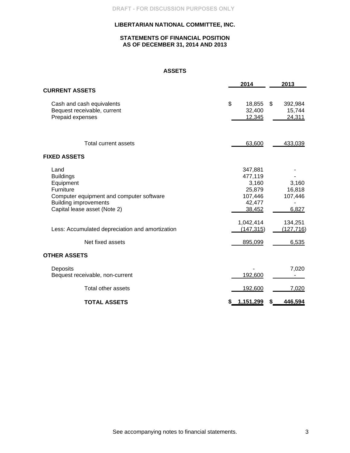## **STATEMENTS OF FINANCIAL POSITION AS OF DECEMBER 31, 2014 AND 2013**

## **ASSETS**

|                                                                                                                                                                | 2014                                                                 | 2013                                          |
|----------------------------------------------------------------------------------------------------------------------------------------------------------------|----------------------------------------------------------------------|-----------------------------------------------|
| <b>CURRENT ASSETS</b>                                                                                                                                          |                                                                      |                                               |
| Cash and cash equivalents<br>Bequest receivable, current<br>Prepaid expenses                                                                                   | \$<br>18,855<br>32,400<br>12,345                                     | $\mathfrak{S}$<br>392,984<br>15,744<br>24,311 |
| Total current assets                                                                                                                                           | 63,600                                                               | 433,039                                       |
| <b>FIXED ASSETS</b>                                                                                                                                            |                                                                      |                                               |
| Land<br><b>Buildings</b><br>Equipment<br>Furniture<br>Computer equipment and computer software<br><b>Building improvements</b><br>Capital lease asset (Note 2) | 347,881<br>477,119<br>3,160<br>25,879<br>107,446<br>42,477<br>38,452 | 3,160<br>16,818<br>107,446<br>6,827           |
| Less: Accumulated depreciation and amortization                                                                                                                | 1,042,414<br>(147, 315)                                              | 134,251<br>(127, 716)                         |
| Net fixed assets                                                                                                                                               | 895,099                                                              | 6,535                                         |
| <b>OTHER ASSETS</b>                                                                                                                                            |                                                                      |                                               |
| Deposits<br>Bequest receivable, non-current                                                                                                                    | 192,600                                                              | 7,020                                         |
| Total other assets                                                                                                                                             | 192,600                                                              | 7,020                                         |
| <b>TOTAL ASSETS</b>                                                                                                                                            | 1,151,299<br>S.                                                      | 446,594<br>S                                  |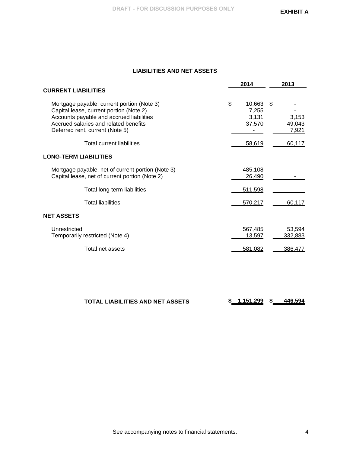# **LIABILITIES AND NET ASSETS**

|                                                                                                                                                                                                               | 2014                                     | 2013                           |
|---------------------------------------------------------------------------------------------------------------------------------------------------------------------------------------------------------------|------------------------------------------|--------------------------------|
| <b>CURRENT LIABILITIES</b>                                                                                                                                                                                    |                                          |                                |
| Mortgage payable, current portion (Note 3)<br>Capital lease, current portion (Note 2)<br>Accounts payable and accrued liabilities<br>Accrued salaries and related benefits<br>Deferred rent, current (Note 5) | \$<br>10,663<br>7,255<br>3,131<br>37,570 | \$<br>3,153<br>49,043<br>7,921 |
| <b>Total current liabilities</b>                                                                                                                                                                              | 58,619                                   | 60,117                         |
| <b>LONG-TERM LIABILITIES</b>                                                                                                                                                                                  |                                          |                                |
| Mortgage payable, net of current portion (Note 3)<br>Capital lease, net of current portion (Note 2)                                                                                                           | 485,108<br>26,490                        |                                |
| Total long-term liabilities                                                                                                                                                                                   | 511,598                                  |                                |
| <b>Total liabilities</b>                                                                                                                                                                                      | 570,217                                  | 60,117                         |
| NET ASSETS                                                                                                                                                                                                    |                                          |                                |
| Unrestricted<br>Temporarily restricted (Note 4)                                                                                                                                                               | 567,485<br>13,597                        | 53,594<br>332,883              |
| Total net assets                                                                                                                                                                                              | 581,082                                  | 386,477                        |
|                                                                                                                                                                                                               |                                          |                                |
|                                                                                                                                                                                                               |                                          |                                |

| TOTAL LIABILITIES AND NET ASSETS | \$1,151,299 |  | 446.594 |
|----------------------------------|-------------|--|---------|
|----------------------------------|-------------|--|---------|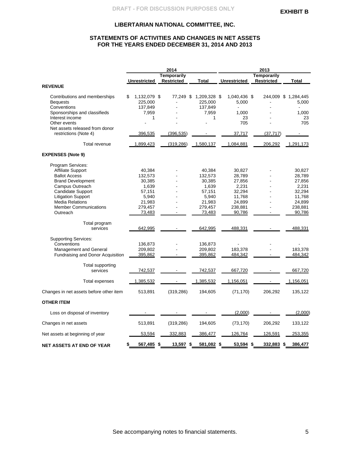## **STATEMENTS OF ACTIVITIES AND CHANGES IN NET ASSETS FOR THE YEARS ENDED DECEMBER 31, 2014 AND 2013**

|                                                  |                               | 2014               |                                   | 2013                  |                    |                               |
|--------------------------------------------------|-------------------------------|--------------------|-----------------------------------|-----------------------|--------------------|-------------------------------|
|                                                  |                               | <b>Temporarily</b> |                                   |                       | <b>Temporarily</b> |                               |
|                                                  | <b>Unrestricted</b>           | <b>Restricted</b>  | <b>Total</b>                      | <b>Unrestricted</b>   | <b>Restricted</b>  | <b>Total</b>                  |
| <b>REVENUE</b>                                   |                               |                    |                                   |                       |                    |                               |
| Contributions and memberships<br><b>Bequests</b> | 1,132,079 \$<br>\$<br>225,000 |                    | 77,249 \$ 1,209,328 \$<br>225,000 | 1,040,436 \$<br>5,000 |                    | 244,009 \$ 1,284,445<br>5,000 |
| Conventions<br>Sponsorships and classifieds      | 137,849<br>7,959              |                    | 137,849<br>7,959                  | 1,000                 |                    | 1,000                         |
| Interest income                                  | 1                             |                    | 1                                 | 23                    |                    | 23                            |
| Other events                                     |                               |                    |                                   | 705                   |                    | 705                           |
| Net assets released from donor                   |                               |                    |                                   |                       |                    |                               |
| restrictions (Note 4)                            | 396,535                       | (396, 535)         |                                   | 37,717                | (37, 717)          |                               |
| Total revenue                                    | 1,899,423                     | (319, 286)         | 1,580,137                         | 1,084,881             | 206,292            | 1,291,173                     |
| <b>EXPENSES (Note 9)</b>                         |                               |                    |                                   |                       |                    |                               |
| Program Services:                                |                               |                    |                                   |                       |                    |                               |
| <b>Affiliate Support</b>                         | 40,384                        |                    | 40,384                            | 30,827                |                    | 30,827                        |
| <b>Ballot Access</b>                             | 132,573                       |                    | 132,573                           | 28,789                |                    | 28,789                        |
| <b>Brand Development</b>                         | 30,385                        |                    | 30,385                            | 27,856                |                    | 27,856                        |
| Campus Outreach                                  | 1,639                         |                    | 1,639                             | 2,231                 |                    | 2,231                         |
| Candidate Support                                | 57,151                        |                    | 57,151                            | 32,294                |                    | 32,294                        |
| <b>Litigation Support</b>                        | 5,940                         |                    | 5,940                             | 11,768                |                    | 11,768                        |
| <b>Media Relations</b>                           | 21,983                        |                    | 21,983                            | 24,899                |                    | 24,899                        |
| <b>Member Communications</b>                     | 279,457                       |                    | 279,457                           | 238,881               |                    | 238,881                       |
| Outreach                                         | 73,483                        |                    | 73,483                            | 90,786                |                    | 90,786                        |
| Total program                                    |                               |                    |                                   |                       |                    |                               |
| services                                         | 642,995                       |                    | 642,995                           | 488,331               |                    | 488,331                       |
| <b>Supporting Services:</b>                      |                               |                    |                                   |                       |                    |                               |
| Conventions                                      | 136,873                       |                    | 136,873                           |                       |                    |                               |
| Management and General                           | 209,802                       |                    | 209,802                           | 183,378               |                    | 183,378                       |
| Fundraising and Donor Acquisition                | 395,862                       |                    | 395,862                           | 484,342               |                    | 484,342                       |
| Total supporting<br>services                     | 742,537                       |                    | 742,537                           | 667,720               |                    | 667,720                       |
|                                                  |                               |                    |                                   |                       |                    |                               |
| Total expenses                                   | 1,385,532                     |                    | 1,385,532                         | 1,156,051             |                    | 1,156,051                     |
| Changes in net assets before other item          | 513,891                       | (319, 286)         | 194,605                           | (71, 170)             | 206,292            | 135,122                       |
| <b>OTHER ITEM</b>                                |                               |                    |                                   |                       |                    |                               |
| Loss on disposal of inventory                    |                               |                    |                                   | (2,000)               |                    | (2,000)                       |
| Changes in net assets                            | 513,891                       | (319, 286)         | 194,605                           | (73, 170)             | 206,292            | 133,122                       |
| Net assets at beginning of year                  | 53,594                        | 332,883            | 386,477                           | 126,764               | 126,591            | 253,355                       |
| NET ASSETS AT END OF YEAR                        | 567,485 \$<br>\$              | 13,597 \$          | 581,082 \$                        | 53,594 \$             | 332,883 \$         | 386,477                       |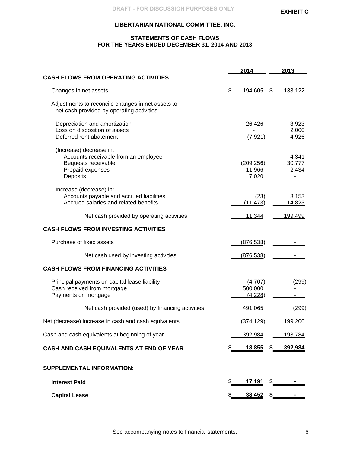## **STATEMENTS OF CASH FLOWS FOR THE YEARS ENDED DECEMBER 31, 2014 AND 2013**

|                                                                                                                        |     | 2014                          | 2013                     |
|------------------------------------------------------------------------------------------------------------------------|-----|-------------------------------|--------------------------|
| <b>CASH FLOWS FROM OPERATING ACTIVITIES</b>                                                                            |     |                               |                          |
| Changes in net assets                                                                                                  | \$  | 194,605                       | \$<br>133,122            |
| Adjustments to reconcile changes in net assets to<br>net cash provided by operating activities:                        |     |                               |                          |
| Depreciation and amortization<br>Loss on disposition of assets<br>Deferred rent abatement                              |     | 26,426<br>(7, 921)            | 3,923<br>2,000<br>4,926  |
| (Increase) decrease in:<br>Accounts receivable from an employee<br>Bequests receivable<br>Prepaid expenses<br>Deposits |     | (209, 256)<br>11,966<br>7,020 | 4,341<br>30,777<br>2,434 |
| Increase (decrease) in:<br>Accounts payable and accrued liabilities<br>Accrued salaries and related benefits           |     | (23)<br>(11, 473)             | 3,153<br>14,823          |
| Net cash provided by operating activities                                                                              |     | 11,344                        | 199,499                  |
| <b>CASH FLOWS FROM INVESTING ACTIVITIES</b>                                                                            |     |                               |                          |
| Purchase of fixed assets                                                                                               |     | (876, 538)                    |                          |
| Net cash used by investing activities                                                                                  |     | (876, 538)                    |                          |
| <b>CASH FLOWS FROM FINANCING ACTIVITIES</b>                                                                            |     |                               |                          |
| Principal payments on capital lease liability<br>Cash received from mortgage<br>Payments on mortgage                   |     | (4,707)<br>500,000<br>(4,228) | (299)                    |
| Net cash provided (used) by financing activities                                                                       |     | <u>491,065</u>                | (299)                    |
| Net (decrease) increase in cash and cash equivalents                                                                   |     | (374, 129)                    | 199,200                  |
| Cash and cash equivalents at beginning of year                                                                         |     | <u>392,984</u>                | 193,784                  |
| CASH AND CASH EQUIVALENTS AT END OF YEAR                                                                               |     |                               | 18,855 \$ <u>392,984</u> |
| <b>SUPPLEMENTAL INFORMATION:</b>                                                                                       |     |                               |                          |
| <b>Interest Paid</b>                                                                                                   | \$  | $17,191$ \$                   |                          |
| <b>Capital Lease</b>                                                                                                   | \$_ |                               |                          |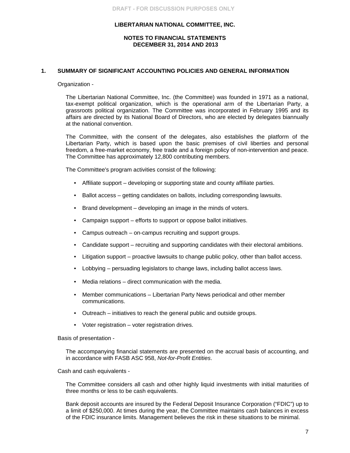## **NOTES TO FINANCIAL STATEMENTS DECEMBER 31, 2014 AND 2013**

## **1. SUMMARY OF SIGNIFICANT ACCOUNTING POLICIES AND GENERAL INFORMATION**

#### Organization -

The Libertarian National Committee, Inc. (the Committee) was founded in 1971 as a national, tax-exempt political organization, which is the operational arm of the Libertarian Party, a grassroots political organization. The Committee was incorporated in February 1995 and its affairs are directed by its National Board of Directors, who are elected by delegates biannually at the national convention.

The Committee, with the consent of the delegates, also establishes the platform of the Libertarian Party, which is based upon the basic premises of civil liberties and personal freedom, a free-market economy, free trade and a foreign policy of non-intervention and peace. The Committee has approximately 12,800 contributing members.

The Committee's program activities consist of the following:

- Affiliate support developing or supporting state and county affiliate parties.
- Ballot access getting candidates on ballots, including corresponding lawsuits.
- Brand development developing an image in the minds of voters.
- Campaign support efforts to support or oppose ballot initiatives.
- Campus outreach on-campus recruiting and support groups.
- Candidate support recruiting and supporting candidates with their electoral ambitions.
- Litigation support proactive lawsuits to change public policy, other than ballot access.
- Lobbying persuading legislators to change laws, including ballot access laws.
- Media relations direct communication with the media.
- Member communications Libertarian Party News periodical and other member communications.
- Outreach initiatives to reach the general public and outside groups.
- Voter registration voter registration drives.

Basis of presentation -

The accompanying financial statements are presented on the accrual basis of accounting, and in accordance with FASB ASC 958, *Not-for-Profit Entities*.

Cash and cash equivalents -

The Committee considers all cash and other highly liquid investments with initial maturities of three months or less to be cash equivalents.

Bank deposit accounts are insured by the Federal Deposit Insurance Corporation ("FDIC") up to a limit of \$250,000. At times during the year, the Committee maintains cash balances in excess of the FDIC insurance limits. Management believes the risk in these situations to be minimal.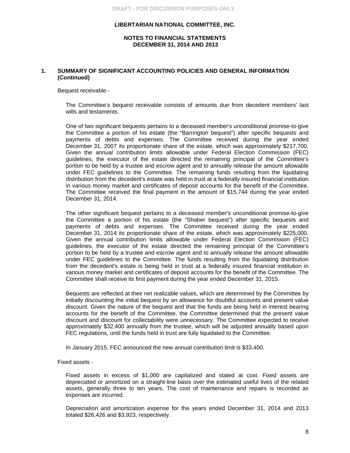## **NOTES TO FINANCIAL STATEMENTS DECEMBER 31, 2014 AND 2013**

## **1. SUMMARY OF SIGNIFICANT ACCOUNTING POLICIES AND GENERAL INFORMATION (Continued)**

Bequest receivable -

The Committee's bequest receivable consists of amounts due from decedent members' last wills and testaments.

One of two significant bequests pertains to a deceased member's unconditional promise-to-give the Committee a portion of his estate (the "Barrington bequest") after specific bequests and payments of debts and expenses. The Committee received during the year ended December 31, 2007 its proportionate share of the estate, which was approximately \$217,700. Given the annual contribution limits allowable under Federal Election Commission (FEC) guidelines, the executor of the estate directed the remaining principal of the Committee's portion to be held by a trustee and escrow agent and to annually release the amount allowable under FEC guidelines to the Committee. The remaining funds resulting from the liquidating distribution from the decedent's estate was held in trust at a federally insured financial institution in various money market and certificates of deposit accounts for the benefit of the Committee. The Committee received the final payment in the amount of \$15,744 during the year ended December 31, 2014.

The other significant bequest pertains to a deceased member's unconditional promise-to-give the Committee a portion of his estate (the "Shaber bequest") after specific bequests and payments of debts and expenses. The Committee received during the year ended December 31, 2014 its proportionate share of the estate, which was approximately \$225,000. Given the annual contribution limits allowable under Federal Election Commission (FEC) guidelines, the executor of the estate directed the remaining principal of the Committee's portion to be held by a trustee and escrow agent and to annually release the amount allowable under FEC guidelines to the Committee. The funds resulting from the liquidating distribution from the decedent's estate is being held in trust at a federally insured financial institution in various money market and certificates of deposit accounts for the benefit of the Committee. The Committee shall receive its first payment during the year ended December 31, 2015.

Bequests are reflected at their net realizable values, which are determined by the Committee by initially discounting the initial bequest by an allowance for doubtful accounts and present value discount. Given the nature of the bequest and that the funds are being held in interest bearing accounts for the benefit of the Committee, the Committee determined that the present value discount and discount for collectability were unnecessary. The Committee expected to receive approximately \$32,400 annually from the trustee, which will be adjusted annually based upon FEC regulations, until the funds held in trust are fully liquidated to the Committee.

In January 2015, FEC announced the new annual contribution limit is \$33,400.

Fixed assets -

Fixed assets in excess of \$1,000 are capitalized and stated at cost. Fixed assets are depreciated or amortized on a straight-line basis over the estimated useful lives of the related assets, generally three to ten years. The cost of maintenance and repairs is recorded as expenses are incurred.

Depreciation and amortization expense for the years ended December 31, 2014 and 2013 totaled \$26,426 and \$3,923, respectively.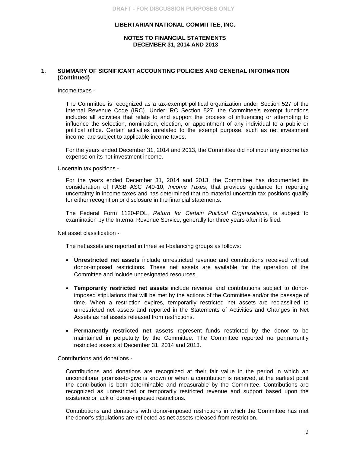#### **NOTES TO FINANCIAL STATEMENTS DECEMBER 31, 2014 AND 2013**

## **1. SUMMARY OF SIGNIFICANT ACCOUNTING POLICIES AND GENERAL INFORMATION (Continued)**

Income taxes -

The Committee is recognized as a tax-exempt political organization under Section 527 of the Internal Revenue Code (IRC). Under IRC Section 527, the Committee's exempt functions includes all activities that relate to and support the process of influencing or attempting to influence the selection, nomination, election, or appointment of any individual to a public or political office. Certain activities unrelated to the exempt purpose, such as net investment income, are subject to applicable income taxes.

For the years ended December 31, 2014 and 2013, the Committee did not incur any income tax expense on its net investment income.

Uncertain tax positions -

For the years ended December 31, 2014 and 2013, the Committee has documented its consideration of FASB ASC 740-10, *Income Taxes*, that provides guidance for reporting uncertainty in income taxes and has determined that no material uncertain tax positions qualify for either recognition or disclosure in the financial statements.

The Federal Form 1120-POL, *Return for Certain Political Organizations*, is subject to examination by the Internal Revenue Service, generally for three years after it is filed.

Net asset classification -

The net assets are reported in three self-balancing groups as follows:

- **Unrestricted net assets** include unrestricted revenue and contributions received without donor-imposed restrictions. These net assets are available for the operation of the Committee and include undesignated resources.
- **Temporarily restricted net assets** include revenue and contributions subject to donorimposed stipulations that will be met by the actions of the Committee and/or the passage of time. When a restriction expires, temporarily restricted net assets are reclassified to unrestricted net assets and reported in the Statements of Activities and Changes in Net Assets as net assets released from restrictions.
- **Permanently restricted net assets** represent funds restricted by the donor to be maintained in perpetuity by the Committee. The Committee reported no permanently restricted assets at December 31, 2014 and 2013.

Contributions and donations -

Contributions and donations are recognized at their fair value in the period in which an unconditional promise-to-give is known or when a contribution is received, at the earliest point the contribution is both determinable and measurable by the Committee. Contributions are recognized as unrestricted or temporarily restricted revenue and support based upon the existence or lack of donor-imposed restrictions.

Contributions and donations with donor-imposed restrictions in which the Committee has met the donor's stipulations are reflected as net assets released from restriction.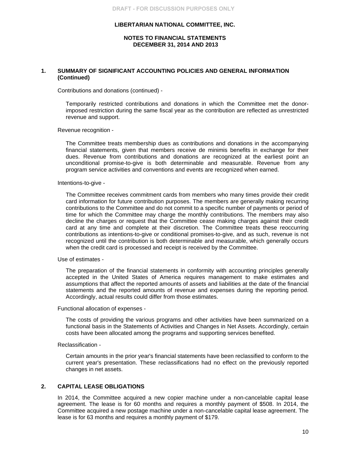## **NOTES TO FINANCIAL STATEMENTS DECEMBER 31, 2014 AND 2013**

## **1. SUMMARY OF SIGNIFICANT ACCOUNTING POLICIES AND GENERAL INFORMATION (Continued)**

Contributions and donations (continued) -

Temporarily restricted contributions and donations in which the Committee met the donorimposed restriction during the same fiscal year as the contribution are reflected as unrestricted revenue and support.

Revenue recognition -

The Committee treats membership dues as contributions and donations in the accompanying financial statements, given that members receive de minimis benefits in exchange for their dues. Revenue from contributions and donations are recognized at the earliest point an unconditional promise-to-give is both determinable and measurable. Revenue from any program service activities and conventions and events are recognized when earned.

Intentions-to-give -

The Committee receives commitment cards from members who many times provide their credit card information for future contribution purposes. The members are generally making recurring contributions to the Committee and do not commit to a specific number of payments or period of time for which the Committee may charge the monthly contributions. The members may also decline the charges or request that the Committee cease making charges against their credit card at any time and complete at their discretion. The Committee treats these reoccurring contributions as intentions-to-give or conditional promises-to-give, and as such, revenue is not recognized until the contribution is both determinable and measurable, which generally occurs when the credit card is processed and receipt is received by the Committee.

Use of estimates -

The preparation of the financial statements in conformity with accounting principles generally accepted in the United States of America requires management to make estimates and assumptions that affect the reported amounts of assets and liabilities at the date of the financial statements and the reported amounts of revenue and expenses during the reporting period. Accordingly, actual results could differ from those estimates.

Functional allocation of expenses -

The costs of providing the various programs and other activities have been summarized on a functional basis in the Statements of Activities and Changes in Net Assets. Accordingly, certain costs have been allocated among the programs and supporting services benefited.

Reclassification -

Certain amounts in the prior year's financial statements have been reclassified to conform to the current year's presentation. These reclassifications had no effect on the previously reported changes in net assets.

#### **2. CAPITAL LEASE OBLIGATIONS**

In 2014, the Committee acquired a new copier machine under a non-cancelable capital lease agreement. The lease is for 60 months and requires a monthly payment of \$508. In 2014, the Committee acquired a new postage machine under a non-cancelable capital lease agreement. The lease is for 63 months and requires a monthly payment of \$179.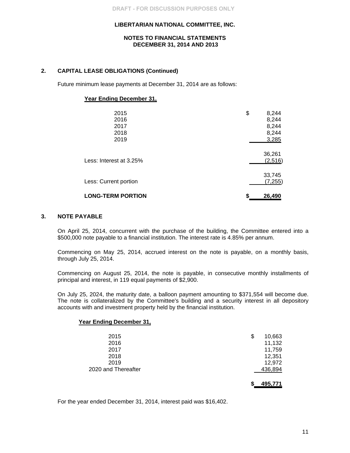#### **NOTES TO FINANCIAL STATEMENTS DECEMBER 31, 2014 AND 2013**

## **2. CAPITAL LEASE OBLIGATIONS (Continued)**

Future minimum lease payments at December 31, 2014 are as follows:

#### **Year Ending December 31,**

| 2015<br>2016<br>2017<br>2018<br>2019 | \$<br>8,244<br>8,244<br>8,244<br>8,244<br>3,285 |
|--------------------------------------|-------------------------------------------------|
| Less: Interest at 3.25%              | 36,261<br>(2,516)                               |
| Less: Current portion                | 33,745<br>(7, 255)                              |
| <b>LONG-TERM PORTION</b>             | \$<br>26,490                                    |

## **3. NOTE PAYABLE**

On April 25, 2014, concurrent with the purchase of the building, the Committee entered into a \$500,000 note payable to a financial institution. The interest rate is 4.85% per annum.

Commencing on May 25, 2014, accrued interest on the note is payable, on a monthly basis, through July 25, 2014.

Commencing on August 25, 2014, the note is payable, in consecutive monthly installments of principal and interest, in 119 equal payments of \$2,900.

On July 25, 2024, the maturity date, a balloon payment amounting to \$371,554 will become due. The note is collateralized by the Committee's building and a security interest in all depository accounts with and investment property held by the financial institution.

#### **Year Ending December 31,**

| 2015<br>2016<br>2017<br>2018<br>2019 | \$<br>10,663<br>11,132<br>11,759<br>12,351<br>12,972 |
|--------------------------------------|------------------------------------------------------|
| 2020 and Thereafter                  | 436,894                                              |
|                                      | 495,771                                              |

For the year ended December 31, 2014, interest paid was \$16,402.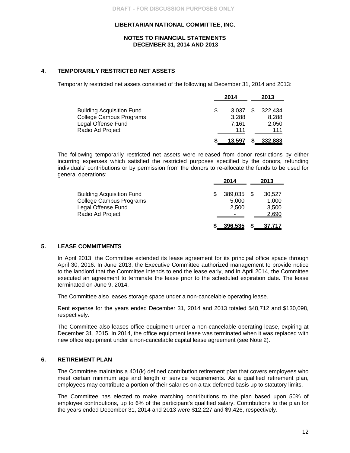#### **NOTES TO FINANCIAL STATEMENTS DECEMBER 31, 2014 AND 2013**

## **4. TEMPORARILY RESTRICTED NET ASSETS**

Temporarily restricted net assets consisted of the following at December 31, 2014 and 2013:

|                                  | 2014        | 2013 |         |  |
|----------------------------------|-------------|------|---------|--|
| <b>Building Acquisition Fund</b> | \$<br>3.037 |      | 322.434 |  |
| <b>College Campus Programs</b>   | 3.288       |      | 8,288   |  |
| Legal Offense Fund               | 7.161       |      | 2,050   |  |
| Radio Ad Project                 | 111         |      | 111     |  |
|                                  | 13.597      |      | 332,883 |  |

The following temporarily restricted net assets were released from donor restrictions by either incurring expenses which satisfied the restricted purposes specified by the donors, refunding individuals' contributions or by permission from the donors to re-allocate the funds to be used for general operations:

|                                                                                                       | 2014                      | 2013                                     |
|-------------------------------------------------------------------------------------------------------|---------------------------|------------------------------------------|
| <b>Building Acquisition Fund</b><br>College Campus Programs<br>Legal Offense Fund<br>Radio Ad Project | 389,035<br>5.000<br>2.500 | 30,527<br>1,000<br>3,500<br><u>2,690</u> |
|                                                                                                       | 396,535                   | <u>37,717</u>                            |

#### **5. LEASE COMMITMENTS**

In April 2013, the Committee extended its lease agreement for its principal office space through April 30, 2016. In June 2013, the Executive Committee authorized management to provide notice to the landlord that the Committee intends to end the lease early, and in April 2014, the Committee executed an agreement to terminate the lease prior to the scheduled expiration date. The lease terminated on June 9, 2014.

The Committee also leases storage space under a non-cancelable operating lease.

Rent expense for the years ended December 31, 2014 and 2013 totaled \$48,712 and \$130,098, respectively.

The Committee also leases office equipment under a non-cancelable operating lease, expiring at December 31, 2015. In 2014, the office equipment lease was terminated when it was replaced with new office equipment under a non-cancelable capital lease agreement (see Note 2).

## **6. RETIREMENT PLAN**

The Committee maintains a 401(k) defined contribution retirement plan that covers employees who meet certain minimum age and length of service requirements. As a qualified retirement plan, employees may contribute a portion of their salaries on a tax-deferred basis up to statutory limits.

The Committee has elected to make matching contributions to the plan based upon 50% of employee contributions, up to 6% of the participant's qualified salary. Contributions to the plan for the years ended December 31, 2014 and 2013 were \$12,227 and \$9,426, respectively.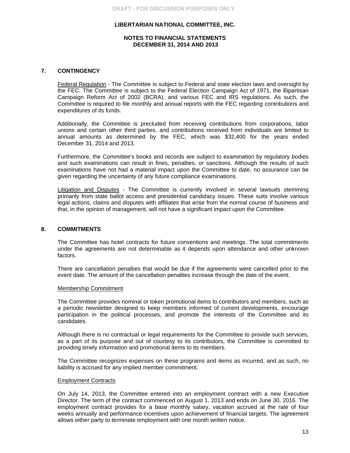## **NOTES TO FINANCIAL STATEMENTS DECEMBER 31, 2014 AND 2013**

## **7. CONTINGENCY**

Federal Regulation - The Committee is subject to Federal and state election laws and oversight by the FEC. The Committee is subject to the Federal Election Campaign Act of 1971, the Bipartisan Campaign Reform Act of 2002 (BCRA), and various FEC and IRS regulations. As such, the Committee is required to file monthly and annual reports with the FEC regarding contributions and expenditures of its funds.

Additionally, the Committee is precluded from receiving contributions from corporations, labor unions and certain other third parties, and contributions received from individuals are limited to annual amounts as determined by the FEC, which was \$32,400 for the years ended December 31, 2014 and 2013.

Furthermore, the Committee's books and records are subject to examination by regulatory bodies and such examinations can result in fines, penalties, or sanctions. Although the results of such examinations have not had a material impact upon the Committee to date, no assurance can be given regarding the uncertainty of any future compliance examinations.

Litigation and Disputes - The Committee is currently involved in several lawsuits stemming primarily from state ballot access and presidential candidacy issues. These suits involve various legal actions, claims and disputes with affiliates that arise from the normal course of business and that, in the opinion of management, will not have a significant impact upon the Committee.

## **8. COMMITMENTS**

The Committee has hotel contracts for future conventions and meetings. The total commitments under the agreements are not determinable as it depends upon attendance and other unknown factors.

There are cancellation penalties that would be due if the agreements were cancelled prior to the event date. The amount of the cancellation penalties increase through the date of the event.

#### Membership Commitment

The Committee provides nominal or token promotional items to contributors and members, such as a periodic newsletter designed to keep members informed of current developments, encourage participation in the political processes, and promote the interests of the Committee and its candidates.

Although there is no contractual or legal requirements for the Committee to provide such services, as a part of its purpose and out of courtesy to its contributors, the Committee is committed to providing timely information and promotional items to its members.

The Committee recognizes expenses on these programs and items as incurred, and as such, no liability is accrued for any implied member commitment.

#### Employment Contracts

On July 14, 2013, the Committee entered into an employment contract with a new Executive Director. The term of the contract commenced on August 1, 2013 and ends on June 30, 2016. The employment contract provides for a base monthly salary, vacation accrued at the rate of four weeks annually and performance incentives upon achievement of financial targets. The agreement allows either party to terminate employment with one month written notice.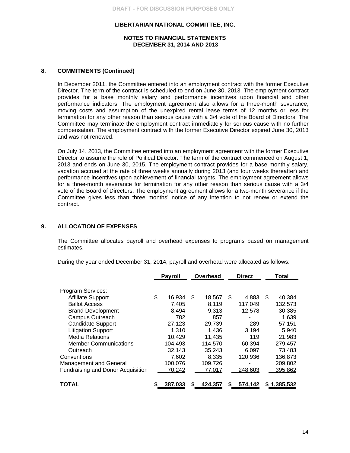#### **NOTES TO FINANCIAL STATEMENTS DECEMBER 31, 2014 AND 2013**

## **8. COMMITMENTS (Continued)**

In December 2011, the Committee entered into an employment contract with the former Executive Director. The term of the contract is scheduled to end on June 30, 2013. The employment contract provides for a base monthly salary and performance incentives upon financial and other performance indicators. The employment agreement also allows for a three-month severance, moving costs and assumption of the unexpired rental lease terms of 12 months or less for termination for any other reason than serious cause with a 3/4 vote of the Board of Directors. The Committee may terminate the employment contract immediately for serious cause with no further compensation. The employment contract with the former Executive Director expired June 30, 2013 and was not renewed.

On July 14, 2013, the Committee entered into an employment agreement with the former Executive Director to assume the role of Political Director. The term of the contract commenced on August 1, 2013 and ends on June 30, 2015. The employment contract provides for a base monthly salary, vacation accrued at the rate of three weeks annually during 2013 (and four weeks thereafter) and performance incentives upon achievement of financial targets. The employment agreement allows for a three-month severance for termination for any other reason than serious cause with a 3/4 vote of the Board of Directors. The employment agreement allows for a two-month severance if the Committee gives less than three months' notice of any intention to not renew or extend the contract.

## **9. ALLOCATION OF EXPENSES**

The Committee allocates payroll and overhead expenses to programs based on management estimates.

During the year ended December 31, 2014, payroll and overhead were allocated as follows:

|                                   | <b>Payroll</b> | Overhead |         |     | <b>Direct</b> |   | Total       |
|-----------------------------------|----------------|----------|---------|-----|---------------|---|-------------|
|                                   |                |          |         |     |               |   |             |
| <b>Program Services:</b>          |                |          |         |     |               |   |             |
| <b>Affiliate Support</b>          | \$<br>16,934   | \$       | 18,567  | \$. | 4,883         | S | 40,384      |
| <b>Ballot Access</b>              | 7,405          |          | 8,119   |     | 117,049       |   | 132,573     |
| <b>Brand Development</b>          | 8,494          |          | 9,313   |     | 12,578        |   | 30,385      |
| Campus Outreach                   | 782            |          | 857     |     |               |   | 1,639       |
| <b>Candidate Support</b>          | 27,123         |          | 29,739  |     | 289           |   | 57,151      |
| <b>Litigation Support</b>         | 1,310          |          | 1,436   |     | 3,194         |   | 5,940       |
| <b>Media Relations</b>            | 10,429         |          | 11.435  |     | 119           |   | 21,983      |
| <b>Member Communications</b>      | 104,493        |          | 114,570 |     | 60,394        |   | 279,457     |
| Outreach                          | 32,143         |          | 35,243  |     | 6.097         |   | 73,483      |
| Conventions                       | 7.602          |          | 8,335   |     | 120,936       |   | 136,873     |
| Management and General            | 100,076        |          | 109,726 |     |               |   | 209,802     |
| Fundraising and Donor Acquisition | 70,242         |          | 77,017  |     | 248,603       |   | 395,862     |
| <b>TOTAL</b>                      | \$<br>387,033  | S        | 424,357 | S   | 574,142       |   | \$1,385,532 |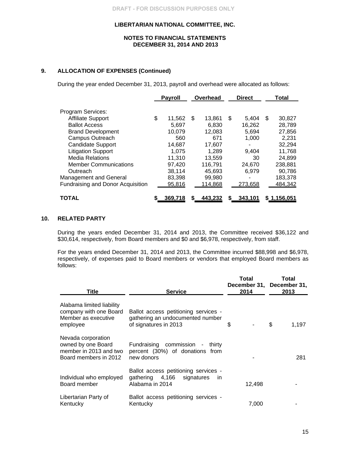## **NOTES TO FINANCIAL STATEMENTS DECEMBER 31, 2014 AND 2013**

## **9. ALLOCATION OF EXPENSES (Continued)**

During the year ended December 31, 2013, payroll and overhead were allocated as follows:

|                                          | <b>Payroll</b> | Overhead<br><b>Direct</b> |    |         | Total |             |
|------------------------------------------|----------------|---------------------------|----|---------|-------|-------------|
| Program Services:                        |                |                           |    |         |       |             |
| <b>Affiliate Support</b>                 | \$<br>11,562   | \$<br>13,861              | \$ | 5.404   | \$.   | 30,827      |
| <b>Ballot Access</b>                     | 5.697          | 6.830                     |    | 16,262  |       | 28,789      |
| <b>Brand Development</b>                 | 10,079         | 12,083                    |    | 5,694   |       | 27,856      |
| Campus Outreach                          | 560            | 671                       |    | 1,000   |       | 2,231       |
| <b>Candidate Support</b>                 | 14,687         | 17,607                    |    |         |       | 32,294      |
| <b>Litigation Support</b>                | 1.075          | 1.289                     |    | 9.404   |       | 11,768      |
| <b>Media Relations</b>                   | 11,310         | 13,559                    |    | 30      |       | 24,899      |
| <b>Member Communications</b>             | 97,420         | 116,791                   |    | 24,670  |       | 238,881     |
| Outreach                                 | 38,114         | 45.693                    |    | 6,979   |       | 90,786      |
| <b>Management and General</b>            | 83,398         | 99,980                    |    |         |       | 183,378     |
| <b>Fundraising and Donor Acquisition</b> | 95,816         | 114,868                   |    | 273,658 |       | 484,342     |
| TOTAL                                    | 369,718        | 443,232                   |    | 343,101 |       | \$1,156,051 |

## **10. RELATED PARTY**

During the years ended December 31, 2014 and 2013, the Committee received \$36,122 and \$30,614, respectively, from Board members and \$0 and \$6,978, respectively, from staff.

For the years ended December 31, 2014 and 2013, the Committee incurred \$88,998 and \$6,978, respectively, of expenses paid to Board members or vendors that employed Board members as follows:

| Title                                                                                       | <b>Service</b>                                                                                    | Total<br>2014 | Total<br>December 31, December 31,<br>2013 |
|---------------------------------------------------------------------------------------------|---------------------------------------------------------------------------------------------------|---------------|--------------------------------------------|
| Alabama limited liability<br>company with one Board<br>Member as executive<br>employee      | Ballot access petitioning services -<br>gathering an undocumented number<br>of signatures in 2013 | \$            | \$<br>1.197                                |
| Nevada corporation<br>owned by one Board<br>member in 2013 and two<br>Board members in 2012 | Fundraising commission - thirty<br>percent (30%) of donations from<br>new donors                  |               | 281                                        |
| Individual who employed<br>Board member                                                     | Ballot access petitioning services -<br>gathering 4,166 signatures<br>-in<br>Alabama in 2014      | 12,498        |                                            |
| Libertarian Party of<br>Kentucky                                                            | Ballot access petitioning services -<br>Kentucky                                                  | 7,000         |                                            |